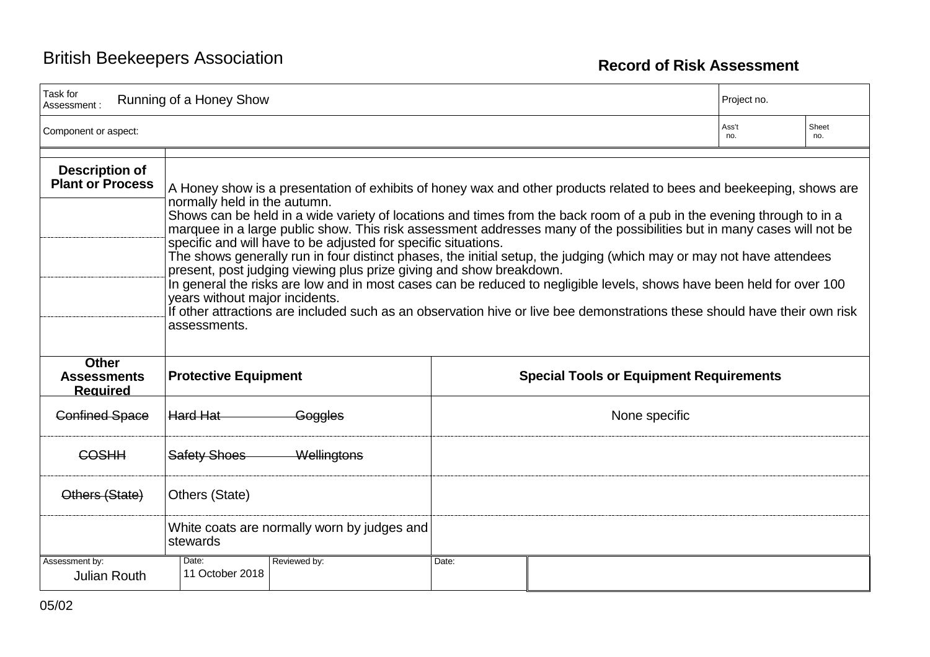| Task for<br>Assessment :                              | Running of a Honey Show                                                                                                                                                                                                                                                                                                                                                                                                                                                                                                                                                                                                                                                                                                                                                                                                                                                                                                                                                          |                                                | Project no.  |              |  |
|-------------------------------------------------------|----------------------------------------------------------------------------------------------------------------------------------------------------------------------------------------------------------------------------------------------------------------------------------------------------------------------------------------------------------------------------------------------------------------------------------------------------------------------------------------------------------------------------------------------------------------------------------------------------------------------------------------------------------------------------------------------------------------------------------------------------------------------------------------------------------------------------------------------------------------------------------------------------------------------------------------------------------------------------------|------------------------------------------------|--------------|--------------|--|
| Component or aspect:                                  |                                                                                                                                                                                                                                                                                                                                                                                                                                                                                                                                                                                                                                                                                                                                                                                                                                                                                                                                                                                  |                                                | Ass't<br>no. | Sheet<br>no. |  |
| <b>Description of</b><br><b>Plant or Process</b>      | A Honey show is a presentation of exhibits of honey wax and other products related to bees and beekeeping, shows are<br>normally held in the autumn.<br>Shows can be held in a wide variety of locations and times from the back room of a pub in the evening through to in a<br>marquee in a large public show. This risk assessment addresses many of the possibilities but in many cases will not be<br>specific and will have to be adjusted for specific situations.<br>The shows generally run in four distinct phases, the initial setup, the judging (which may or may not have attendees<br>present, post judging viewing plus prize giving and show breakdown.<br>In general the risks are low and in most cases can be reduced to negligible levels, shows have been held for over 100<br>years without major incidents.<br>If other attractions are included such as an observation hive or live bee demonstrations these should have their own risk<br>assessments. |                                                |              |              |  |
| <b>Other</b><br><b>Assessments</b><br><b>Required</b> | <b>Protective Equipment</b>                                                                                                                                                                                                                                                                                                                                                                                                                                                                                                                                                                                                                                                                                                                                                                                                                                                                                                                                                      | <b>Special Tools or Equipment Requirements</b> |              |              |  |
| <b>Confined Space</b>                                 | Hard Hat<br>Goggles                                                                                                                                                                                                                                                                                                                                                                                                                                                                                                                                                                                                                                                                                                                                                                                                                                                                                                                                                              | None specific                                  |              |              |  |
| COSHH                                                 | <b>Safety Shoes</b><br>Wellingtons                                                                                                                                                                                                                                                                                                                                                                                                                                                                                                                                                                                                                                                                                                                                                                                                                                                                                                                                               |                                                |              |              |  |
| Others (State)                                        | Others (State)                                                                                                                                                                                                                                                                                                                                                                                                                                                                                                                                                                                                                                                                                                                                                                                                                                                                                                                                                                   |                                                |              |              |  |
|                                                       | White coats are normally worn by judges and<br>stewards                                                                                                                                                                                                                                                                                                                                                                                                                                                                                                                                                                                                                                                                                                                                                                                                                                                                                                                          |                                                |              |              |  |
| Assessment by:<br><b>Julian Routh</b>                 | Date:<br>Reviewed by:<br>11 October 2018                                                                                                                                                                                                                                                                                                                                                                                                                                                                                                                                                                                                                                                                                                                                                                                                                                                                                                                                         | Date:                                          |              |              |  |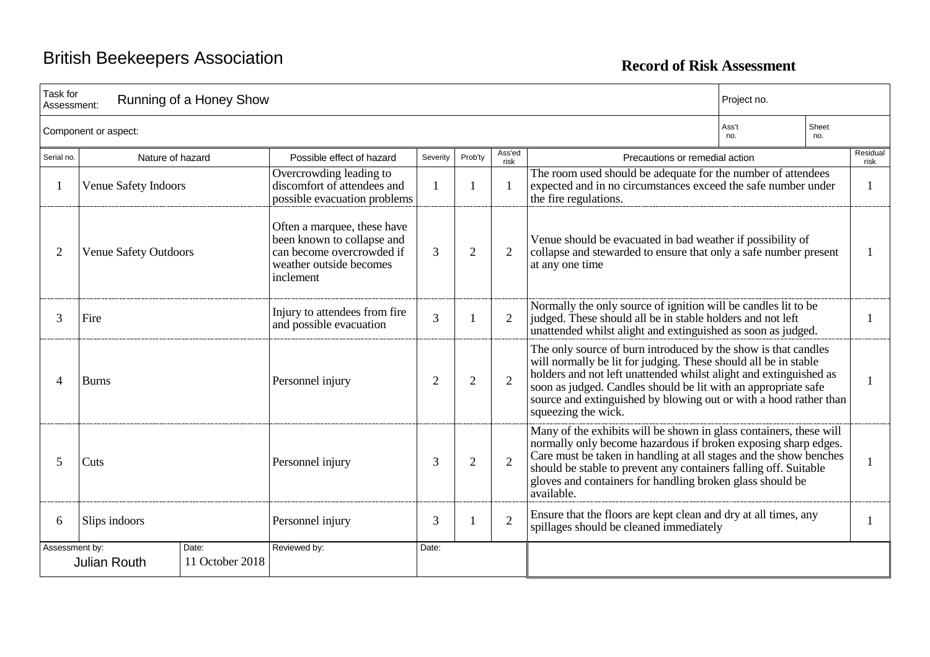| Task for<br>Running of a Honey Show<br>Assessment: |                                                 |                                                                                                                                |                |                |                |                                                                                                                                                                                                                                                                                                                                                                      | Project no.                  |  |                  |
|----------------------------------------------------|-------------------------------------------------|--------------------------------------------------------------------------------------------------------------------------------|----------------|----------------|----------------|----------------------------------------------------------------------------------------------------------------------------------------------------------------------------------------------------------------------------------------------------------------------------------------------------------------------------------------------------------------------|------------------------------|--|------------------|
| Component or aspect:                               |                                                 |                                                                                                                                |                |                |                |                                                                                                                                                                                                                                                                                                                                                                      | Sheet<br>Ass't<br>no.<br>no. |  |                  |
| Serial no.                                         | Nature of hazard                                | Possible effect of hazard                                                                                                      | Severity       | Prob'ty        | Ass'ed<br>risk | Precautions or remedial action                                                                                                                                                                                                                                                                                                                                       |                              |  | Residual<br>risk |
|                                                    | Venue Safety Indoors                            | Overcrowding leading to<br>discomfort of attendees and<br>possible evacuation problems                                         |                |                | $\mathbf{1}$   | The room used should be adequate for the number of attendees<br>expected and in no circumstances exceed the safe number under<br>the fire regulations.                                                                                                                                                                                                               |                              |  |                  |
| 2                                                  | <b>Venue Safety Outdoors</b>                    | Often a marquee, these have<br>been known to collapse and<br>can become overcrowded if<br>weather outside becomes<br>inclement | 3              | $\overline{2}$ | 2              | Venue should be evacuated in bad weather if possibility of<br>collapse and stewarded to ensure that only a safe number present<br>at any one time                                                                                                                                                                                                                    |                              |  |                  |
| 3                                                  | Fire                                            | Injury to attendees from fire<br>and possible evacuation                                                                       | $\overline{3}$ |                | $\overline{2}$ | Normally the only source of ignition will be candles lit to be<br>judged. These should all be in stable holders and not left<br>unattended whilst alight and extinguished as soon as judged.                                                                                                                                                                         |                              |  |                  |
| 4                                                  | <b>Burns</b>                                    | Personnel injury                                                                                                               | $\overline{2}$ | $\overline{2}$ | $\overline{2}$ | The only source of burn introduced by the show is that candles<br>will normally be lit for judging. These should all be in stable<br>holders and not left unattended whilst alight and extinguished as<br>soon as judged. Candles should be lit with an appropriate safe<br>source and extinguished by blowing out or with a hood rather than<br>squeezing the wick. |                              |  |                  |
| 5                                                  | Cuts                                            | Personnel injury                                                                                                               | 3              | $\overline{2}$ | $\overline{2}$ | Many of the exhibits will be shown in glass containers, these will<br>normally only become hazardous if broken exposing sharp edges.<br>Care must be taken in handling at all stages and the show benches<br>should be stable to prevent any containers falling off. Suitable<br>gloves and containers for handling broken glass should be<br>available.             |                              |  | 1                |
| 6                                                  | Slips indoors                                   | Personnel injury                                                                                                               | 3              |                | $\overline{2}$ | Ensure that the floors are kept clean and dry at all times, any<br>spillages should be cleaned immediately                                                                                                                                                                                                                                                           |                              |  |                  |
| Assessment by:                                     | Date:<br>11 October 2018<br><b>Julian Routh</b> | Reviewed by:                                                                                                                   | Date:          |                |                |                                                                                                                                                                                                                                                                                                                                                                      |                              |  |                  |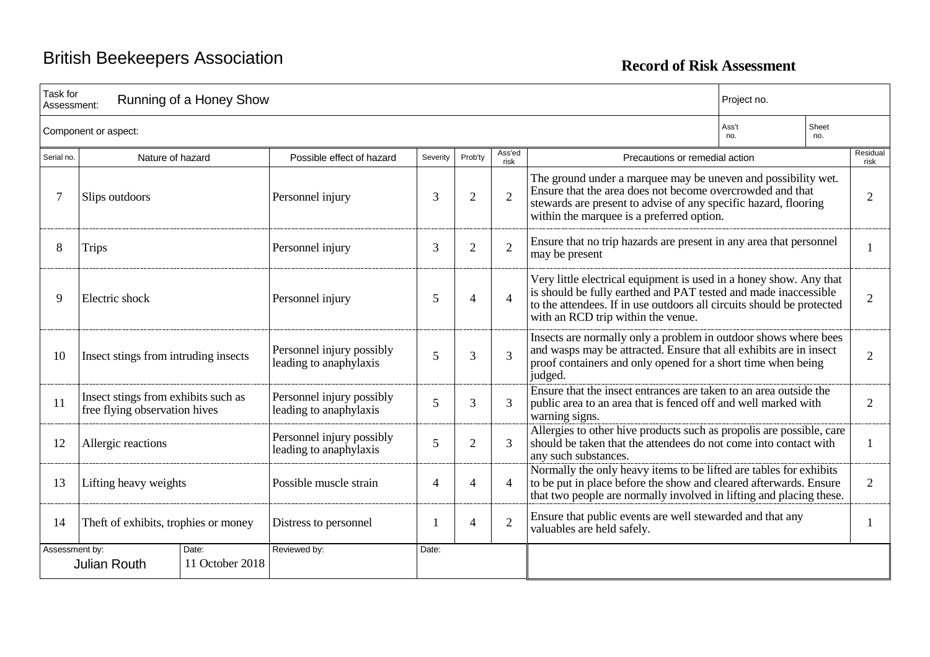| Task for<br>Running of a Honey Show<br>Assessment:                                                                                     |                                                                      |                                                     |       |                |                |                                                                                                                                                                                                                                                      | Project no.                  |                |                  |
|----------------------------------------------------------------------------------------------------------------------------------------|----------------------------------------------------------------------|-----------------------------------------------------|-------|----------------|----------------|------------------------------------------------------------------------------------------------------------------------------------------------------------------------------------------------------------------------------------------------------|------------------------------|----------------|------------------|
| Component or aspect:                                                                                                                   |                                                                      |                                                     |       |                |                |                                                                                                                                                                                                                                                      | Ass't<br>Sheet<br>no.<br>no. |                |                  |
| Ass'ed<br>Nature of hazard<br>Possible effect of hazard<br>Precautions or remedial action<br>Severity<br>Serial no.<br>Prob'ty<br>risk |                                                                      |                                                     |       |                |                |                                                                                                                                                                                                                                                      |                              |                | Residual<br>risk |
|                                                                                                                                        | Slips outdoors                                                       | Personnel injury                                    | 3     | $\overline{2}$ | $\overline{2}$ | The ground under a marquee may be uneven and possibility wet.<br>Ensure that the area does not become overcrowded and that<br>stewards are present to advise of any specific hazard, flooring<br>within the marquee is a preferred option.           |                              |                | $\overline{2}$   |
| 8                                                                                                                                      | <b>Trips</b>                                                         | Personnel injury                                    | 3     | $\overline{2}$ | $\overline{2}$ | Ensure that no trip hazards are present in any area that personnel<br>may be present                                                                                                                                                                 |                              |                |                  |
| 9                                                                                                                                      | Electric shock                                                       | Personnel injury                                    | 5     | 4              | $\overline{4}$ | Very little electrical equipment is used in a honey show. Any that<br>is should be fully earthed and PAT tested and made inaccessible<br>to the attendees. If in use outdoors all circuits should be protected<br>with an RCD trip within the venue. |                              | $\overline{2}$ |                  |
| 10                                                                                                                                     | Insect stings from intruding insects                                 | Personnel injury possibly<br>leading to anaphylaxis | 5     | 3              | 3              | Insects are normally only a problem in outdoor shows where bees<br>and wasps may be attracted. Ensure that all exhibits are in insect<br>proof containers and only opened for a short time when being<br>judged.                                     |                              | $\overline{2}$ |                  |
| 11                                                                                                                                     | Insect stings from exhibits such as<br>free flying observation hives | Personnel injury possibly<br>leading to anaphylaxis | 5     | 3              | 3              | Ensure that the insect entrances are taken to an area outside the<br>public area to an area that is fenced off and well marked with<br>warning signs.                                                                                                |                              |                | 2                |
| 12                                                                                                                                     | Allergic reactions                                                   | Personnel injury possibly<br>leading to anaphylaxis | 5     | $\overline{2}$ | 3              | Allergies to other hive products such as propolis are possible, care<br>should be taken that the attendees do not come into contact with<br>any such substances.                                                                                     |                              |                | 1                |
| 13                                                                                                                                     | Lifting heavy weights                                                | Possible muscle strain                              | 4     | $\overline{4}$ | $\overline{4}$ | Normally the only heavy items to be lifted are tables for exhibits<br>to be put in place before the show and cleared afterwards. Ensure<br>that two people are normally involved in lifting and placing these.                                       |                              |                | 2                |
| 14                                                                                                                                     | Theft of exhibits, trophies or money                                 | Distress to personnel                               |       | 4              | $\overline{2}$ | Ensure that public events are well stewarded and that any<br>valuables are held safely.                                                                                                                                                              |                              |                |                  |
| Assessment by:                                                                                                                         | Date:<br>11 October 2018<br><b>Julian Routh</b>                      | Reviewed by:                                        | Date: |                |                |                                                                                                                                                                                                                                                      |                              |                |                  |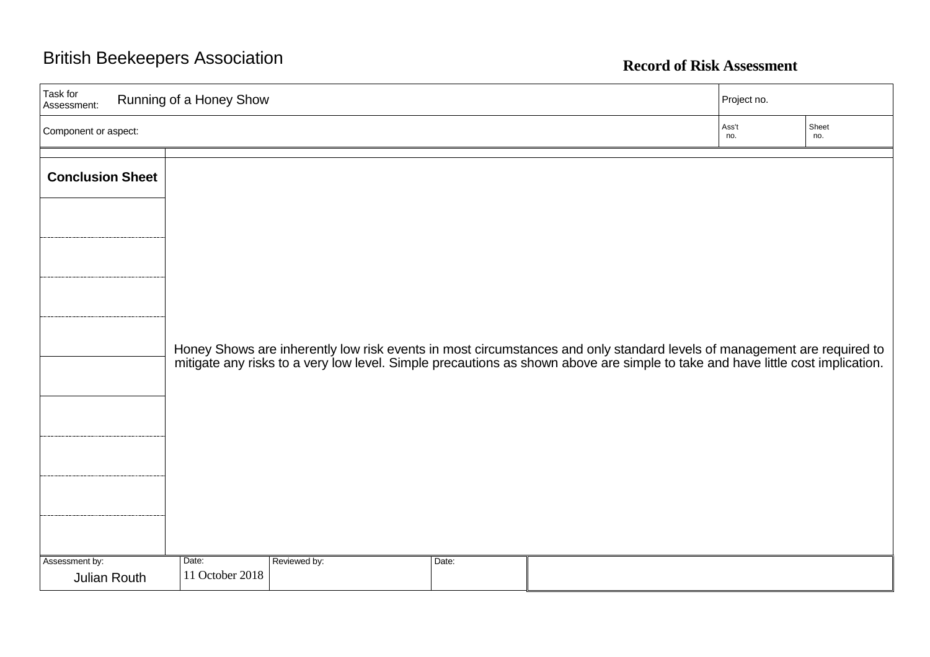| Task for<br>Running of a Honey Show<br>Assessment: |                          |              |       | Project no.                                                                                                                                                                                                                   |              |              |
|----------------------------------------------------|--------------------------|--------------|-------|-------------------------------------------------------------------------------------------------------------------------------------------------------------------------------------------------------------------------------|--------------|--------------|
| Component or aspect:                               |                          |              |       |                                                                                                                                                                                                                               | Ass't<br>no. | Sheet<br>no. |
| <b>Conclusion Sheet</b>                            |                          |              |       |                                                                                                                                                                                                                               |              |              |
|                                                    |                          |              |       |                                                                                                                                                                                                                               |              |              |
|                                                    |                          |              |       |                                                                                                                                                                                                                               |              |              |
|                                                    |                          |              |       |                                                                                                                                                                                                                               |              |              |
|                                                    |                          |              |       | Honey Shows are inherently low risk events in most circumstances and only standard levels of management are required to mitigate any risks to a very low level. Simple precautions as shown above are simple to take and have |              |              |
|                                                    |                          |              |       |                                                                                                                                                                                                                               |              |              |
|                                                    |                          |              |       |                                                                                                                                                                                                                               |              |              |
|                                                    |                          |              |       |                                                                                                                                                                                                                               |              |              |
| Assessment by:<br>Julian Routh                     | Date:<br>11 October 2018 | Reviewed by: | Date: |                                                                                                                                                                                                                               |              |              |